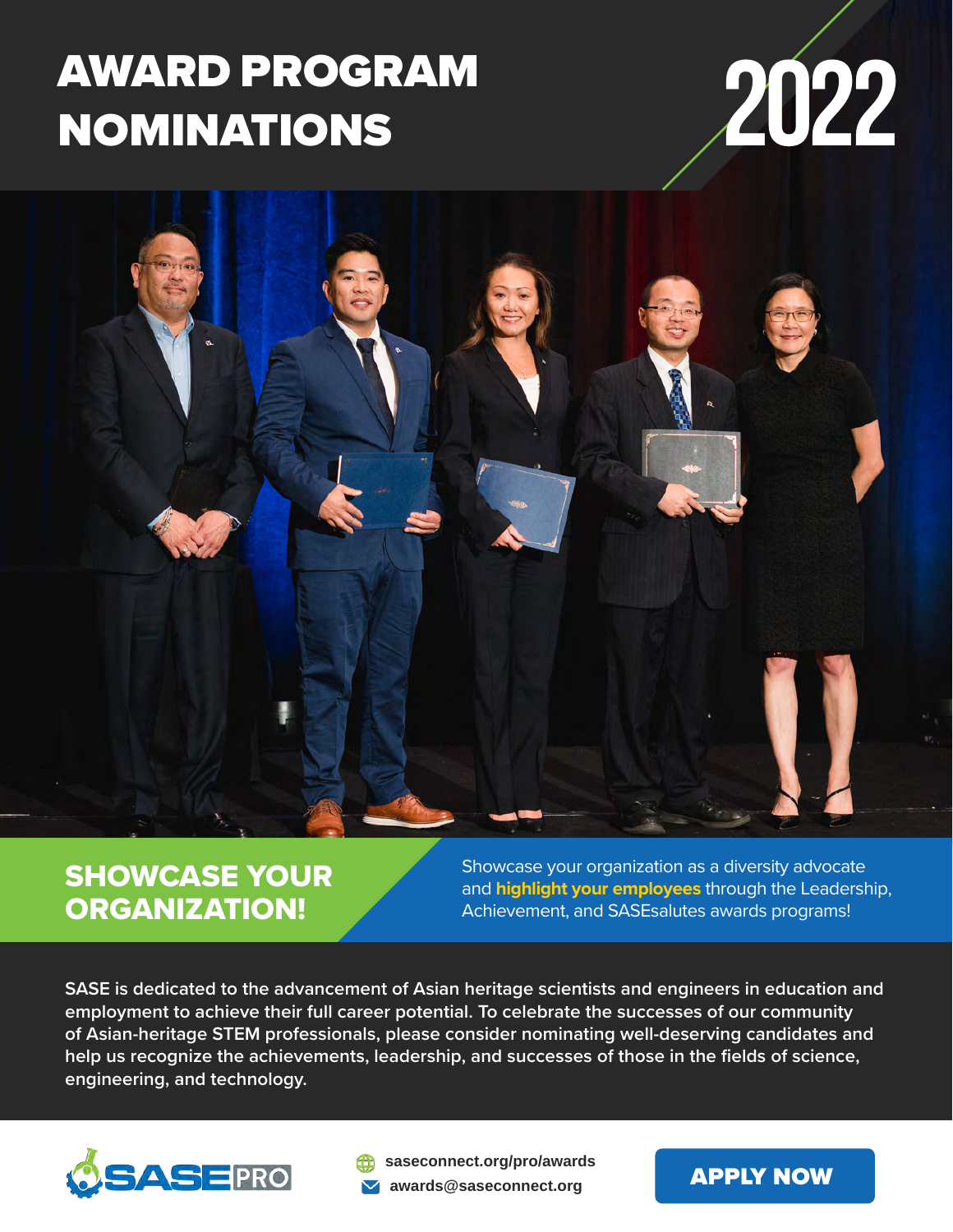# AWARD PROGRAM NOMINATIONS **2022**





## SHOWCASE YOUR ORGANIZATION!

Showcase your organization as a diversity advocate and **highlight your employees** through the Leadership, Achievement, and SASEsalutes awards programs!

**SASE is dedicated to the advancement of Asian heritage scientists and engineers in education and employment to achieve their full career potential. To celebrate the successes of our community of Asian-heritage STEM professionals, please consider nominating well-deserving candidates and help us recognize the achievements, leadership, and successes of those in the fields of science, engineering, and technology.** 



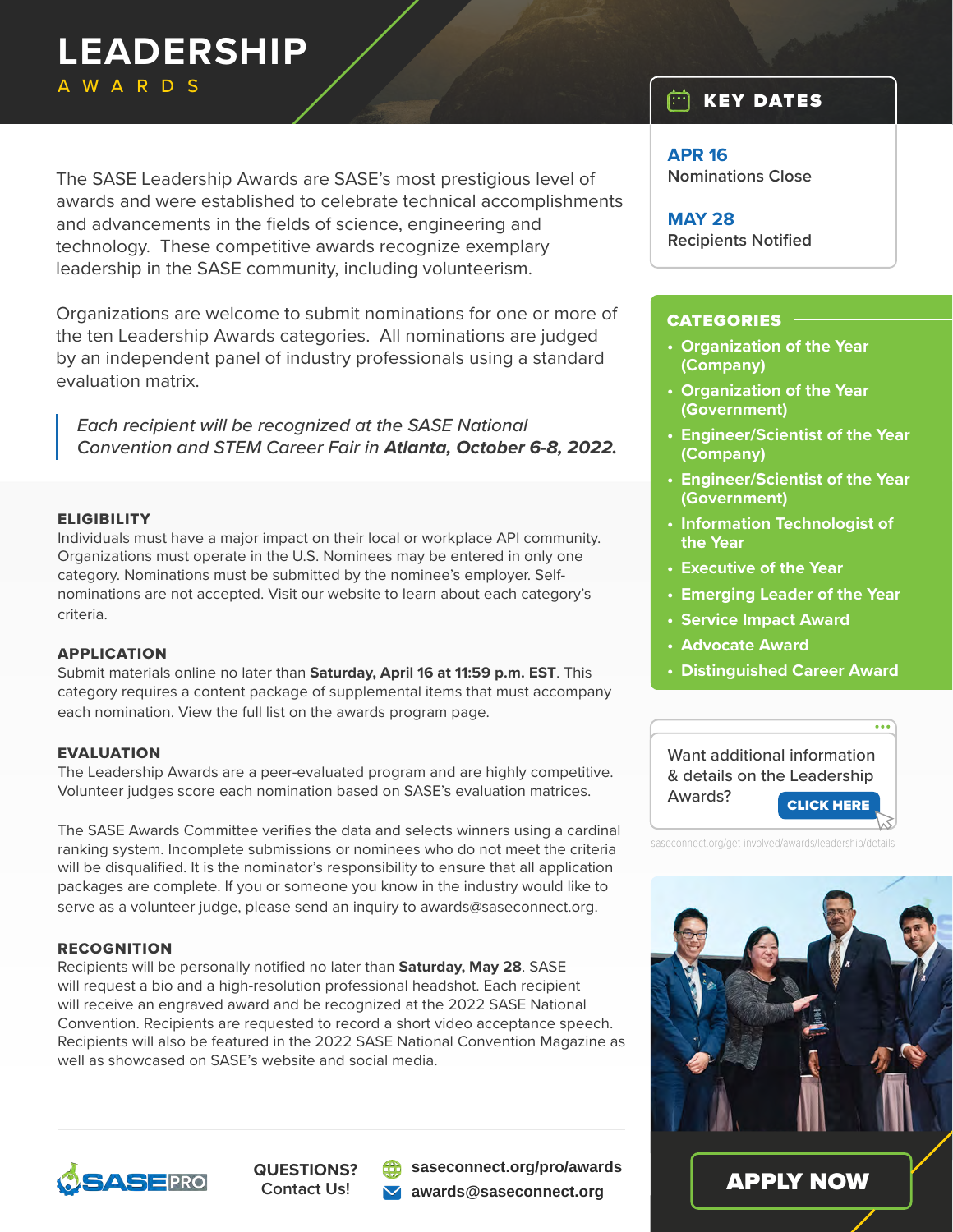## **LEADERSHIP** AWARDS

The SASE Leadership Awards are SASE's most prestigious level of awards and were established to celebrate technical accomplishments and advancements in the fields of science, engineering and technology. These competitive awards recognize exemplary leadership in the SASE community, including volunteerism.

Organizations are welcome to submit nominations for one or more of the ten Leadership Awards categories. All nominations are judged by an independent panel of industry professionals using a standard evaluation matrix.

*Each recipient will be recognized at the SASE National Convention and STEM Career Fair in Atlanta, October 6-8, 2022.*

#### **ELIGIBILITY**

Individuals must have a major impact on their local or workplace API community. Organizations must operate in the U.S. Nominees may be entered in only one category. Nominations must be submitted by the nominee's employer. Selfnominations are not accepted. Visit our website to learn about each category's criteria.

#### APPLICATION

Submit materials online no later than **Saturday, April 16 at 11:59 p.m. EST**. This category requires a content package of supplemental items that must accompany each nomination. View the full list on the awards program page.

#### **EVALUATION**

The Leadership Awards are a peer-evaluated program and are highly competitive. Volunteer judges score each nomination based on SASE's evaluation matrices.

The SASE Awards Committee verifies the data and selects winners using a cardinal ranking system. Incomplete submissions or nominees who do not meet the criteria will be disqualified. It is the nominator's responsibility to ensure that all application packages are complete. If you or someone you know in the industry would like to serve as a volunteer judge, please send an inquiry to awards@saseconnect.org.

#### RECOGNITION

Recipients will be personally notified no later than **Saturday, May 28**. SASE will request a bio and a high-resolution professional headshot. Each recipient will receive an engraved award and be recognized at the 2022 SASE National Convention. Recipients are requested to record a short video acceptance speech. Recipients will also be featured in the 2022 SASE National Convention Magazine as well as showcased on SASE's website and social media.

## **SASEPRO**

**QUESTIONS? Contact Us!**

**[saseconnect.org/pro/awards](https://saseconnect.org/pro/awards) [awards@saseconnect.org](mailto:awards%40saseconnect.org?subject=)**

#### $\Box$  KEY DATES

**APR 16 Nominations Close**

**MAY 28 Recipients Notified**

#### CATEGORIES

- **• Organization of the Year (Company)**
- **• Organization of the Year (Government)**
- **• Engineer/Scientist of the Year (Company)**
- **• Engineer/Scientist of the Year (Government)**
- **• Information Technologist of the Year**
- **• Executive of the Year**
- **• Emerging Leader of the Year**
- **• Service Impact Award**
- **• Advocate Award**
- **• Distinguished Career Award**

 $\overline{\cdots}$ 

Want additional information & details on the Leadership Awards? [CLICK HERE](https://www.saseconnect.org/get-involved/awards/leadership/details)

saseconnect.org/get-involved/awards/leadership/details



[APPLY NOW](https://sase.secure-platform.com/site/solicitations/login/2?returnUrl=http%3A%2F%2Fsase.secure-platform.com%2Fsite%2Fsolicitations%2F2%2Fhome)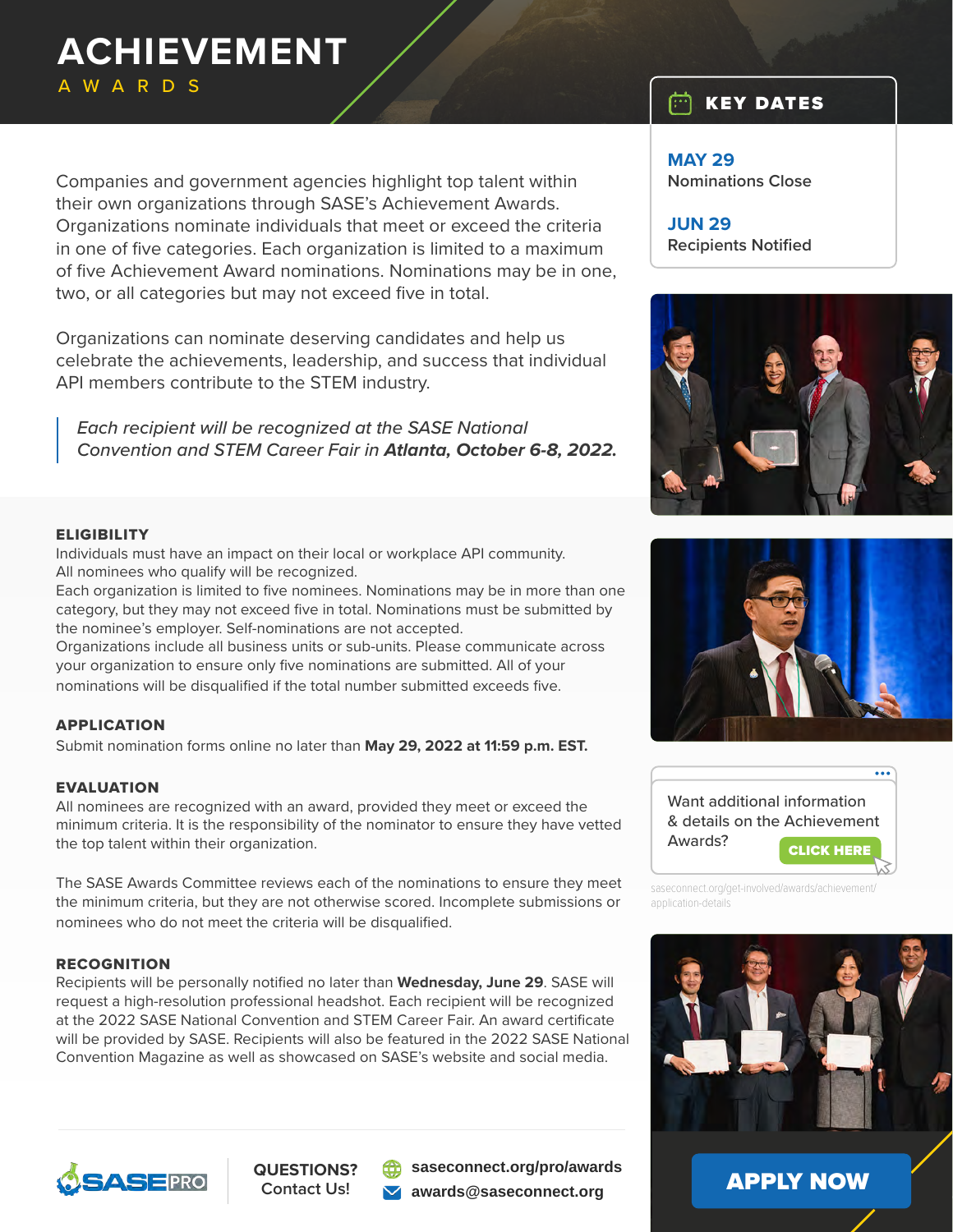## **ACHIEVEMENT** AWARDS

Companies and government agencies highlight top talent within their own organizations through SASE's Achievement Awards. Organizations nominate individuals that meet or exceed the criteria in one of five categories. Each organization is limited to a maximum of five Achievement Award nominations. Nominations may be in one, two, or all categories but may not exceed five in total.

Organizations can nominate deserving candidates and help us celebrate the achievements, leadership, and success that individual API members contribute to the STEM industry.

*Each recipient will be recognized at the SASE National Convention and STEM Career Fair in Atlanta, October 6-8, 2022.*

#### **ELIGIBILITY**

Individuals must have an impact on their local or workplace API community. All nominees who qualify will be recognized.

Each organization is limited to five nominees. Nominations may be in more than one category, but they may not exceed five in total. Nominations must be submitted by the nominee's employer. Self-nominations are not accepted.

Organizations include all business units or sub-units. Please communicate across your organization to ensure only five nominations are submitted. All of your nominations will be disqualified if the total number submitted exceeds five.

#### APPLICATION

Submit nomination forms online no later than **May 29, 2022 at 11:59 p.m. EST.**

#### EVALUATION

All nominees are recognized with an award, provided they meet or exceed the minimum criteria. It is the responsibility of the nominator to ensure they have vetted the top talent within their organization.

The SASE Awards Committee reviews each of the nominations to ensure they meet the minimum criteria, but they are not otherwise scored. Incomplete submissions or nominees who do not meet the criteria will be disqualified.

#### RECOGNITION

Recipients will be personally notified no later than **Wednesday, June 29**. SASE will request a high-resolution professional headshot. Each recipient will be recognized at the 2022 SASE National Convention and STEM Career Fair. An award certificate will be provided by SASE. Recipients will also be featured in the 2022 SASE National Convention Magazine as well as showcased on SASE's website and social media.



#### **QUESTIONS? Contact Us!**

**[saseconnect.org/pro/awards](https://saseconnect.org/pro/awards) [awards@saseconnect.org](mailto:awards%40saseconnect.org?subject=)**

#### $\Box$  Key Dates

**MAY 29 Nominations Close**

**JUN 29 Recipients Notified**







saseconnect.org/get-involved/awards/achievement/ application-details



[APPLY NOW](https://sase.secure-platform.com/site/solicitations/login/2?returnUrl=http%3A%2F%2Fsase.secure-platform.com%2Fsite%2Fsolicitations%2F2%2Fhome)